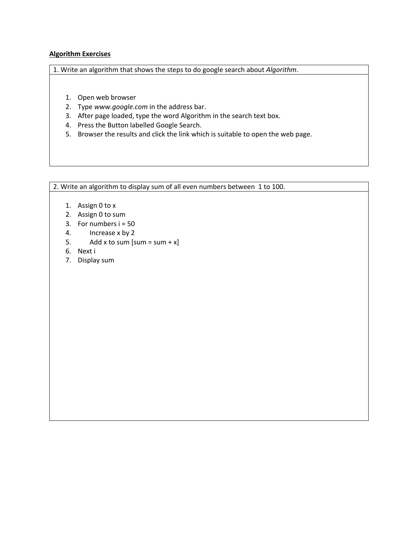## **Algorithm Exercises**

1. Write an algorithm that shows the steps to do google search about *Algorithm*.

- 1. Open web browser
- 2. Type *www.google.com* in the address bar.
- 3. After page loaded, type the word Algorithm in the search text box.
- 4. Press the Button labelled Google Search.
- 5. Browser the results and click the link which is suitable to open the web page.

2. Write an algorithm to display sum of all even numbers between 1 to 100.

- 1. Assign 0 to x
- 2. Assign 0 to sum
- 3. For numbers  $i = 50$
- 4. Increase x by 2
- 5. Add x to sum  $[sum = sum + x]$
- 6. Next i
- 7. Display sum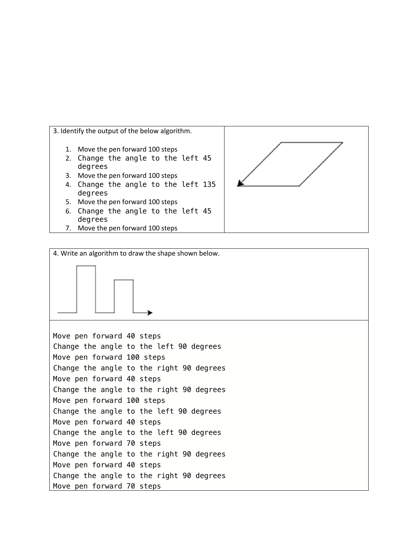